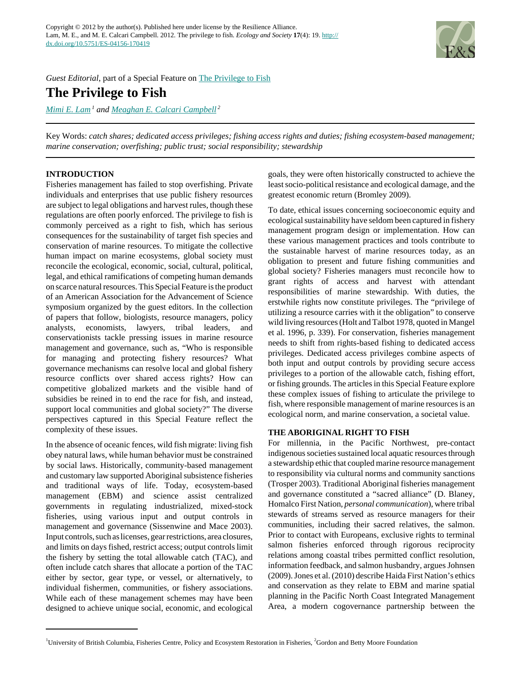*Guest Editorial*, part of a Special Feature on [The Privilege to Fish](http://www.ecologyandsociety.org/viewissue.php?sf=37)

# **The Privilege to Fish**

*[Mimi E. Lam](mailto:mimibethlam@gmail.com)<sup>1</sup> and [Meaghan E. Calcari Campbell](mailto:Meaghan.Calcari@moore.org)<sup>2</sup>*

Key Words: *catch shares; dedicated access privileges; fishing access rights and duties; fishing ecosystem-based management; marine conservation; overfishing; public trust; social responsibility; stewardship*

# **INTRODUCTION**

Fisheries management has failed to stop overfishing. Private individuals and enterprises that use public fishery resources are subject to legal obligations and harvest rules, though these regulations are often poorly enforced. The privilege to fish is commonly perceived as a right to fish, which has serious consequences for the sustainability of target fish species and conservation of marine resources. To mitigate the collective human impact on marine ecosystems, global society must reconcile the ecological, economic, social, cultural, political, legal, and ethical ramifications of competing human demands on scarce natural resources. This Special Feature is the product of an American Association for the Advancement of Science symposium organized by the guest editors. In the collection of papers that follow, biologists, resource managers, policy analysts, economists, lawyers, tribal leaders, and conservationists tackle pressing issues in marine resource management and governance, such as, "Who is responsible for managing and protecting fishery resources? What governance mechanisms can resolve local and global fishery resource conflicts over shared access rights? How can competitive globalized markets and the visible hand of subsidies be reined in to end the race for fish, and instead, support local communities and global society?" The diverse perspectives captured in this Special Feature reflect the complexity of these issues.

In the absence of oceanic fences, wild fish migrate: living fish obey natural laws, while human behavior must be constrained by social laws. Historically, community-based management and customary law supported Aboriginal subsistence fisheries and traditional ways of life. Today, ecosystem-based management (EBM) and science assist centralized governments in regulating industrialized, mixed-stock fisheries, using various input and output controls in management and governance (Sissenwine and Mace 2003). Input controls, such as licenses, gear restrictions, area closures, and limits on days fished, restrict access; output controls limit the fishery by setting the total allowable catch (TAC), and often include catch shares that allocate a portion of the TAC either by sector, gear type, or vessel, or alternatively, to individual fishermen, communities, or fishery associations. While each of these management schemes may have been designed to achieve unique social, economic, and ecological goals, they were often historically constructed to achieve the least socio-political resistance and ecological damage, and the greatest economic return (Bromley 2009).

To date, ethical issues concerning socioeconomic equity and ecological sustainability have seldom been captured in fishery management program design or implementation. How can these various management practices and tools contribute to the sustainable harvest of marine resources today, as an obligation to present and future fishing communities and global society? Fisheries managers must reconcile how to grant rights of access and harvest with attendant responsibilities of marine stewardship. With duties, the erstwhile rights now constitute privileges. The "privilege of utilizing a resource carries with it the obligation" to conserve wild living resources (Holt and Talbot 1978, quoted in Mangel et al. 1996, p. 339). For conservation, fisheries management needs to shift from rights-based fishing to dedicated access privileges. Dedicated access privileges combine aspects of both input and output controls by providing secure access privileges to a portion of the allowable catch, fishing effort, or fishing grounds. The articles in this Special Feature explore these complex issues of fishing to articulate the privilege to fish, where responsible management of marine resources is an ecological norm, and marine conservation, a societal value.

# **THE ABORIGINAL RIGHT TO FISH**

For millennia, in the Pacific Northwest, pre-contact indigenous societies sustained local aquatic resources through a stewardship ethic that coupled marine resource management to responsibility via cultural norms and community sanctions (Trosper 2003). Traditional Aboriginal fisheries management and governance constituted a "sacred alliance" (D. Blaney, Homalco First Nation, *personal communication*), where tribal stewards of streams served as resource managers for their communities, including their sacred relatives, the salmon. Prior to contact with Europeans, exclusive rights to terminal salmon fisheries enforced through rigorous reciprocity relations among coastal tribes permitted conflict resolution, information feedback, and salmon husbandry, argues Johnsen (2009). Jones et al. (2010) describe Haida First Nation's ethics and conservation as they relate to EBM and marine spatial planning in the Pacific North Coast Integrated Management Area, a modern cogovernance partnership between the



<sup>&</sup>lt;sup>1</sup>University of British Columbia, Fisheries Centre, Policy and Ecosystem Restoration in Fisheries, <sup>2</sup>Gordon and Betty Moore Foundation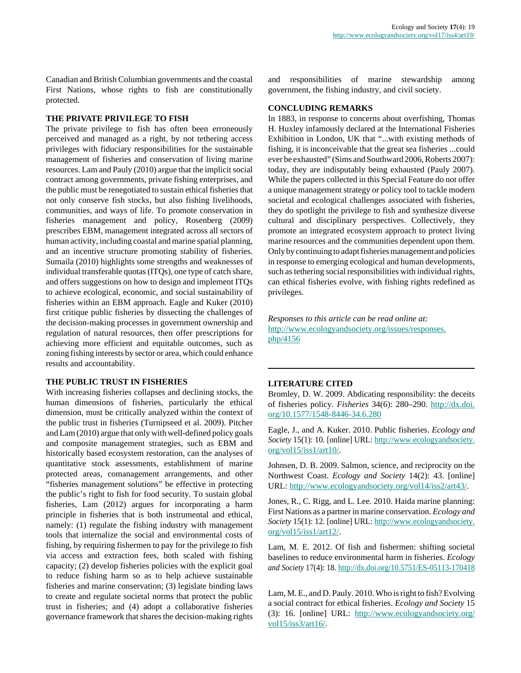Canadian and British Columbian governments and the coastal First Nations, whose rights to fish are constitutionally protected.

#### **THE PRIVATE PRIVILEGE TO FISH**

The private privilege to fish has often been erroneously perceived and managed as a right, by not tethering access privileges with fiduciary responsibilities for the sustainable management of fisheries and conservation of living marine resources. Lam and Pauly (2010) argue that the implicit social contract among governments, private fishing enterprises, and the public must be renegotiated to sustain ethical fisheries that not only conserve fish stocks, but also fishing livelihoods, communities, and ways of life. To promote conservation in fisheries management and policy, Rosenberg (2009) prescribes EBM, management integrated across all sectors of human activity, including coastal and marine spatial planning, and an incentive structure promoting stability of fisheries. Sumaila (2010) highlights some strengths and weaknesses of individual transferable quotas (ITQs), one type of catch share, and offers suggestions on how to design and implement ITQs to achieve ecological, economic, and social sustainability of fisheries within an EBM approach. Eagle and Kuker (2010) first critique public fisheries by dissecting the challenges of the decision-making processes in government ownership and regulation of natural resources, then offer prescriptions for achieving more efficient and equitable outcomes, such as zoning fishing interests by sector or area, which could enhance results and accountability.

## **THE PUBLIC TRUST IN FISHERIES**

With increasing fisheries collapses and declining stocks, the human dimensions of fisheries, particularly the ethical dimension, must be critically analyzed within the context of the public trust in fisheries (Turnipseed et al. 2009). Pitcher and Lam (2010) argue that only with well-defined policy goals and composite management strategies, such as EBM and historically based ecosystem restoration, can the analyses of quantitative stock assessments, establishment of marine protected areas, comanagement arrangements, and other "fisheries management solutions" be effective in protecting the public's right to fish for food security. To sustain global fisheries, Lam (2012) argues for incorporating a harm principle in fisheries that is both instrumental and ethical, namely: (1) regulate the fishing industry with management tools that internalize the social and environmental costs of fishing, by requiring fishermen to pay for the privilege to fish via access and extraction fees, both scaled with fishing capacity; (2) develop fisheries policies with the explicit goal to reduce fishing harm so as to help achieve sustainable fisheries and marine conservation; (3) legislate binding laws to create and regulate societal norms that protect the public trust in fisheries; and (4) adopt a collaborative fisheries governance framework that shares the decision-making rights

and responsibilities of marine stewardship among government, the fishing industry, and civil society.

### **CONCLUDING REMARKS**

In 1883, in response to concerns about overfishing, Thomas H. Huxley infamously declared at the International Fisheries Exhibition in London, UK that "...with existing methods of fishing, it is inconceivable that the great sea fisheries ...could ever be exhausted" (Sims and Southward 2006, Roberts 2007): today, they are indisputably being exhausted (Pauly 2007). While the papers collected in this Special Feature do not offer a unique management strategy or policy tool to tackle modern societal and ecological challenges associated with fisheries, they do spotlight the privilege to fish and synthesize diverse cultural and disciplinary perspectives. Collectively, they promote an integrated ecosystem approach to protect living marine resources and the communities dependent upon them. Only by continuing to adapt fisheries management and policies in response to emerging ecological and human developments, such as tethering social responsibilities with individual rights, can ethical fisheries evolve, with fishing rights redefined as privileges.

*Responses to this article can be read online at:* [http://www.ecologyandsociety.org/issues/responses.](http://www.ecologyandsociety.org/issues/responses.php/4156) [php/4156](http://www.ecologyandsociety.org/issues/responses.php/4156)

#### **LITERATURE CITED**

Bromley, D. W. 2009. Abdicating responsibility: the deceits of fisheries policy. *Fisheries* 34(6): 280–290. [http://dx.doi.](http://dx.doi.org/10.1577/1548-8446-34.6.280) [org/10.1577/1548-8446-34.6.280](http://dx.doi.org/10.1577/1548-8446-34.6.280)

Eagle, J., and A. Kuker. 2010. Public fisheries. *Ecology and Society* 15(1): 10. [online] URL: [http://www.ecologyandsociety.](http://www.ecologyandsociety.org/vol15/iss1/art10/) [org/vol15/iss1/art10/](http://www.ecologyandsociety.org/vol15/iss1/art10/).

Johnsen, D. B. 2009. Salmon, science, and reciprocity on the Northwest Coast. *Ecology and Society* 14(2): 43. [online] URL: [http://www.ecologyandsociety.org/vol14/iss2/art43/.](http://www.ecologyandsociety.org/vol14/iss2/art43/)

Jones, R., C. Rigg, and L. Lee. 2010. Haida marine planning: First Nations as a partner in marine conservation. *Ecology and Society* 15(1): 12. [online] URL: [http://www.ecologyandsociety.](http://www.ecologyandsociety.org/vol15/iss1/art12/) [org/vol15/iss1/art12/](http://www.ecologyandsociety.org/vol15/iss1/art12/).

Lam, M. E. 2012. Of fish and fishermen: shifting societal baselines to reduce environmental harm in fisheries. *Ecology and Society* 17(4): 18. <http://dx.doi.org/10.5751/ES-05113-170418>

Lam, M. E., and D. Pauly. 2010. Who is right to fish? Evolving a social contract for ethical fisheries. *Ecology and Society* 15 (3): 16. [online] URL: [http://www.ecologyandsociety.org/](http://www.ecologyandsociety.org/vol15/iss3/art16/) [vol15/iss3/art16/](http://www.ecologyandsociety.org/vol15/iss3/art16/).